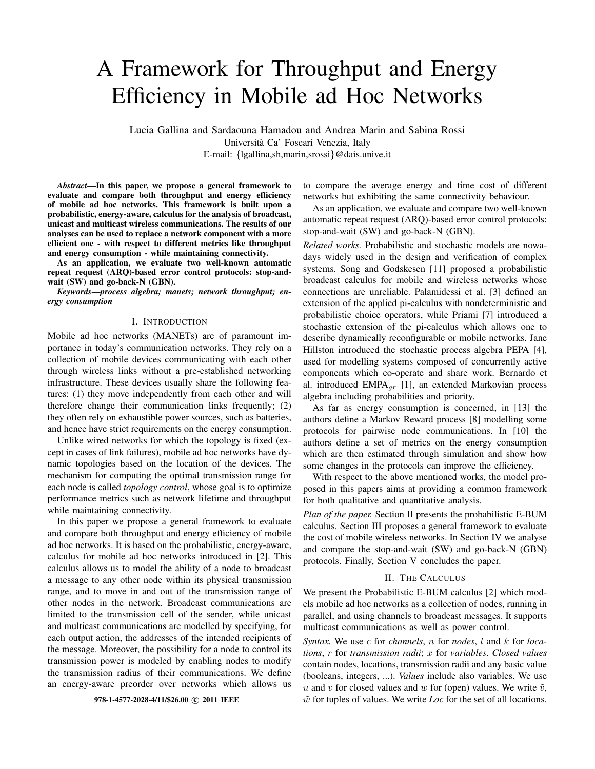# A Framework for Throughput and Energy Efficiency in Mobile ad Hoc Networks

Lucia Gallina and Sardaouna Hamadou and Andrea Marin and Sabina Rossi Universita Ca' Foscari Venezia, Italy ` E-mail: {lgallina,sh,marin,srossi}@dais.unive.it

*Abstract*—In this paper, we propose a general framework to evaluate and compare both throughput and energy efficiency of mobile ad hoc networks. This framework is built upon a probabilistic, energy-aware, calculus for the analysis of broadcast, unicast and multicast wireless communications. The results of our analyses can be used to replace a network component with a more efficient one - with respect to different metrics like throughput and energy consumption - while maintaining connectivity.

As an application, we evaluate two well-known automatic repeat request (ARQ)-based error control protocols: stop-andwait (SW) and go-back-N (GBN).

*Keywords*—*process algebra; manets; network throughput; energy consumption*

# I. INTRODUCTION

Mobile ad hoc networks (MANETs) are of paramount importance in today's communication networks. They rely on a collection of mobile devices communicating with each other through wireless links without a pre-established networking infrastructure. These devices usually share the following features: (1) they move independently from each other and will therefore change their communication links frequently; (2) they often rely on exhaustible power sources, such as batteries, and hence have strict requirements on the energy consumption.

Unlike wired networks for which the topology is fixed (except in cases of link failures), mobile ad hoc networks have dynamic topologies based on the location of the devices. The mechanism for computing the optimal transmission range for each node is called *topology control*, whose goal is to optimize performance metrics such as network lifetime and throughput while maintaining connectivity.

In this paper we propose a general framework to evaluate and compare both throughput and energy efficiency of mobile ad hoc networks. It is based on the probabilistic, energy-aware, calculus for mobile ad hoc networks introduced in [2]. This calculus allows us to model the ability of a node to broadcast a message to any other node within its physical transmission range, and to move in and out of the transmission range of other nodes in the network. Broadcast communications are limited to the transmission cell of the sender, while unicast and multicast communications are modelled by specifying, for each output action, the addresses of the intended recipients of the message. Moreover, the possibility for a node to control its transmission power is modeled by enabling nodes to modify the transmission radius of their communications. We define an energy-aware preorder over networks which allows us

to compare the average energy and time cost of different networks but exhibiting the same connectivity behaviour.

As an application, we evaluate and compare two well-known automatic repeat request (ARQ)-based error control protocols: stop-and-wait (SW) and go-back-N (GBN).

*Related works.* Probabilistic and stochastic models are nowadays widely used in the design and verification of complex systems. Song and Godskesen [11] proposed a probabilistic broadcast calculus for mobile and wireless networks whose connections are unreliable. Palamidessi et al. [3] defined an extension of the applied pi-calculus with nondeterministic and probabilistic choice operators, while Priami [7] introduced a stochastic extension of the pi-calculus which allows one to describe dynamically reconfigurable or mobile networks. Jane Hillston introduced the stochastic process algebra PEPA [4], used for modelling systems composed of concurrently active components which co-operate and share work. Bernardo et al. introduced  $EMPA<sub>qr</sub>$  [1], an extended Markovian process algebra including probabilities and priority.

As far as energy consumption is concerned, in [13] the authors define a Markov Reward process [8] modelling some protocols for pairwise node communications. In [10] the authors define a set of metrics on the energy consumption which are then estimated through simulation and show how some changes in the protocols can improve the efficiency.

With respect to the above mentioned works, the model proposed in this papers aims at providing a common framework for both qualitative and quantitative analysis.

*Plan of the paper.* Section II presents the probabilistic E-BUM calculus. Section III proposes a general framework to evaluate the cost of mobile wireless networks. In Section IV we analyse and compare the stop-and-wait (SW) and go-back-N (GBN) protocols. Finally, Section V concludes the paper.

#### II. THE CALCULUS

We present the Probabilistic E-BUM calculus [2] which models mobile ad hoc networks as a collection of nodes, running in parallel, and using channels to broadcast messages. It supports multicast communications as well as power control.

*Syntax.* We use c for *channels*, n for *nodes*, l and k for *locations*, r for *transmission radii*; x for *variables*. *Closed values* contain nodes, locations, transmission radii and any basic value (booleans, integers, ...). *Values* include also variables. We use u and v for closed values and w for (open) values. We write  $\tilde{v}$ , 978-1-4577-2028-4/11/\$26.00  $\odot$  2011 IEEE  $\tilde{w}$  for tuples of values. We write *Loc* for the set of all locations.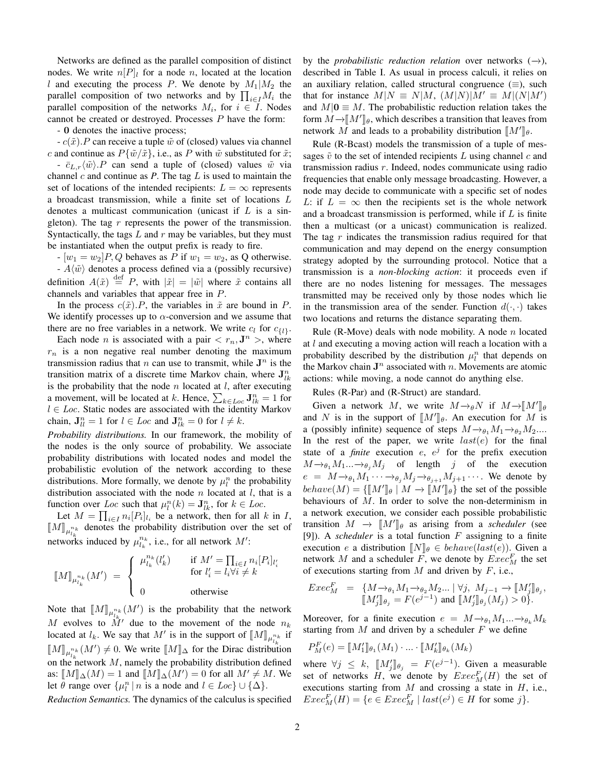Networks are defined as the parallel composition of distinct nodes. We write  $n[P]$  for a node n, located at the location l and executing the process P. We denote by  $M_1|M_2$  the parallel composition of two networks and by  $\prod_{i\in I}M_i$  the parallel composition of the networks  $M_i$ , for  $i \in I$ . Nodes cannot be created or destroyed. Processes  $P$  have the form:

- 0 denotes the inactive process;

 $-c(\tilde{x})$ . P can receive a tuple  $\tilde{w}$  of (closed) values via channel c and continue as  $P{\tilde{\psi}/\tilde{x}}$ , i.e., as P with  $\tilde{w}$  substituted for  $\tilde{x}$ ; -  $\bar{c}_{L,r}\langle \tilde{w} \rangle.P$  can send a tuple of (closed) values  $\tilde{w}$  via channel  $c$  and continue as  $P$ . The tag  $L$  is used to maintain the set of locations of the intended recipients:  $L = \infty$  represents a broadcast transmission, while a finite set of locations L denotes a multicast communication (unicast if  $L$  is a singleton). The tag  $r$  represents the power of the transmission. Syntactically, the tags  $L$  and  $r$  may be variables, but they must be instantiated when the output prefix is ready to fire.

 $-[w_1 = w_2]P, Q$  behaves as P if  $w_1 = w_2$ , as Q otherwise.

-  $A\langle w \rangle$  denotes a process defined via a (possibly recursive) definition  $A(\tilde{x}) \stackrel{\text{def}}{=} P$ , with  $|\tilde{x}| = |\tilde{w}|$  where  $\tilde{x}$  contains all channels and variables that appear free in P.

In the process  $c(\tilde{x})$ . P, the variables in  $\tilde{x}$  are bound in P. We identify processes up to  $\alpha$ -conversion and we assume that there are no free variables in a network. We write  $c_l$  for  $c_{\{l\}}$ .

Each node *n* is associated with a pair  $\langle r_n, \mathbf{J}^n \rangle$ , where  $r_n$  is a non negative real number denoting the maximum transmission radius that *n* can use to transmit, while  $J^n$  is the transition matrix of a discrete time Markov chain, where  $\mathbf{J}_{lk}^n$ is the probability that the node  $n$  located at  $l$ , after executing a movement, will be located at k. Hence,  $\sum_{k \in Loc} \mathbf{J}_{lk}^{n} = 1$  for  $l \in Loc$ . Static nodes are associated with the identity Markov chain,  $\mathbf{J}_{ll}^n = 1$  for  $l \in Loc$  and  $\mathbf{J}_{lk}^n = 0$  for  $l \neq k$ .

*Probability distributions.* In our framework, the mobility of the nodes is the only source of probability. We associate probability distributions with located nodes and model the probabilistic evolution of the network according to these distributions. More formally, we denote by  $\mu_l^n$  the probability distribution associated with the node  $n$  located at  $l$ , that is a function over Loc such that  $\mu_l^n(k) = \mathbf{J}_{lk}^n$ , for  $k \in Loc$ .

Let  $M = \prod_{i \in I} n_i [P_i]_{l_i}$  be a network, then for all k in I,  $\llbracket M \rrbracket_{\mu_{l_k}}^{n_k}$  denotes the probability distribution over the set of networks induced by  $\mu_{l_k}^{n_k}$ , i.e., for all network M':

$$
\llbracket M \rrbracket_{\mu_{l_k}^{n_k}} (M') \ = \ \left\{ \begin{array}{ll} \mu_{l_k}^{n_k}(l_k') & \quad \text{if $M' = \prod_{i \in I} n_i[P_i]_{l_i'}$} \\ & \quad \text{for $l_i' = l_i \forall i \neq k$} \\ 0 & \quad \text{otherwise} \end{array} \right.
$$

Note that  $[M]_{\mu_{k}^{n_k}}(M')$  is the probability that the network M evolves to  $\overline{M}$  due to the movement of the node  $n_k$ located at  $l_k$ . We say that M' is in the support of  $[\![M]\!]_{\mu_{l_k}^{n_k}}$  if  $\llbracket M \rrbracket_{\mu_{l_k}^{n_k}}(M') \neq 0$ . We write  $\llbracket M \rrbracket_{\Delta}$  for the Dirac distribution on the network M, namely the probability distribution defined as:  $[M]_{\Delta}(M) = 1$  and  $[M]_{\Delta}(M') = 0$  for all  $M' \neq M$ . We let  $\theta$  range over  $\{\mu_l^n \mid n \text{ is a node and } l \in Loc\} \cup \{\Delta\}.$ 

*Reduction Semantics.* The dynamics of the calculus is specified

by the *probabilistic reduction relation* over networks  $(\rightarrow)$ , described in Table I. As usual in process calculi, it relies on an auxiliary relation, called structural congruence  $(\equiv)$ , such that for instance  $M|N \equiv N|M$ ,  $(M|N)|M' \equiv M|(N|M')$ and  $M|0 \equiv M$ . The probabilistic reduction relation takes the form  $M\rightarrow [M']_\theta$ , which describes a transition that leaves from natural  $M$  and leads to a probability distribution  $\mathbb{I}M'^{\mathbb{I}}$ . network M and leads to a probability distribution  $[M']_{\theta}$ .

Rule (R-Bcast) models the transmission of a tuple of messages  $\tilde{v}$  to the set of intended recipients L using channel c and transmission radius r. Indeed, nodes communicate using radio frequencies that enable only message broadcasting. However, a node may decide to communicate with a specific set of nodes L: if  $L = \infty$  then the recipients set is the whole network and a broadcast transmission is performed, while if  $L$  is finite then a multicast (or a unicast) communication is realized. The tag  $r$  indicates the transmission radius required for that communication and may depend on the energy consumption strategy adopted by the surrounding protocol. Notice that a transmission is a *non-blocking action*: it proceeds even if there are no nodes listening for messages. The messages transmitted may be received only by those nodes which lie in the transmission area of the sender. Function  $d(\cdot, \cdot)$  takes two locations and returns the distance separating them.

Rule (R-Move) deals with node mobility. A node  $n$  located at  $l$  and executing a moving action will reach a location with a probability described by the distribution  $\mu_l^n$  that depends on the Markov chain  $J^n$  associated with n. Movements are atomic actions: while moving, a node cannot do anything else.

Rules (R-Par) and (R-Struct) are standard.

Given a network M, we write  $M \rightarrow \rho N$  if  $M \rightarrow [M']\rho$ <br>d N is in the support of  $[M']\rho$ . An execution for M is and N is in the support of  $[M']_{\theta}$ . An execution for M is a (possibly infinite) sequence of staps  $M_{\theta} \setminus M_{\theta} \setminus M_{\theta}$ a (possibly infinite) sequence of steps  $M \rightarrow \theta_1 M_1 \rightarrow \theta_2 M_2 \dots$ In the rest of the paper, we write  $last(e)$  for the final state of a *finite* execution  $e$ ,  $e^j$  for the prefix execution  $M \rightarrow \theta_1 M_1 ... \rightarrow \theta_j M_j$  of length j of the execution  $e = M \rightarrow \theta_1 M_1 \cdots \rightarrow \theta_i M_j \rightarrow \theta_{i+1} M_{j+1} \cdots$ . We denote by behave(M) =  $\{\llbracket M' \rrbracket_\theta \mid M \rightarrow \llbracket M' \rrbracket_\theta\}$  the set of the possible<br>behaviours of M, In order to solve the non-determinism in behaviours of  $M$ . In order to solve the non-determinism in a network execution, we consider each possible probabilistic transition  $M \to \llbracket M' \rrbracket_{\theta}$  as arising from a *scheduler* (see<br>(9)) A *scheduler* is a total function *E* assigning to a finite [9]). A *scheduler* is a total function F assigning to a finite execution e a distribution  $\llbracket N \rrbracket_{\theta} \in behave(last(e)).$  Given a network M and a scheduler F, we denote by  $Exec_M^F$  the set of executions starting from  $M$  and driven by  $F$ , i.e.,

$$
Exec_M^F = \{ M \to_{\theta_1} M_1 \to_{\theta_2} M_2 \dots \mid \forall j, M_{j-1} \to \llbracket M'_j \rrbracket_{\theta_j},  0 \}.
$$

Moreover, for a finite execution  $e = M \rightarrow_{\theta_1} M_1 ... \rightarrow_{\theta_k} M_k$ starting from  $M$  and driven by a scheduler  $F$  we define

$$
P_M^F(e) = \llbracket M_1' \rrbracket_{\theta_1}(M_1) \cdot \ldots \cdot \llbracket M_k' \rrbracket_{\theta_k}(M_k)
$$

where  $\forall j \leq k$ ,  $[M'_j]_{\theta_j} = F(e^{j-1})$ . Given a measurable<br>set of networks H we denote by  $F_{\alpha\alpha}F(H)$  the set of set of networks H, we denote by  $Exec_M^F(H)$  the set of executions starting from  $M$  and crossing a state in  $H$ , i.e.,  $Exec_M^F(H) = \{e \in Excel_M^F \mid last(e^j) \in H \text{ for some } j\}.$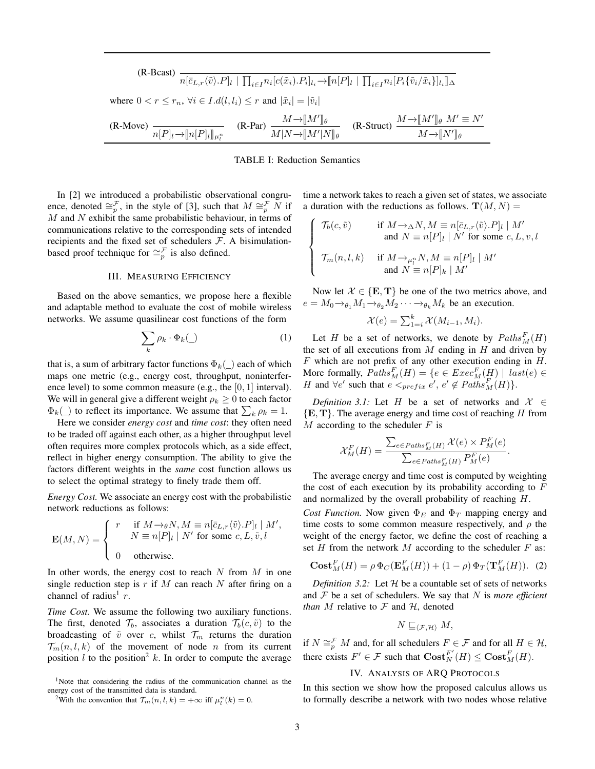$$
\begin{aligned} \text{(R-Bcast)} \quad & \overline{n[\bar{c}_{L,r}\langle \tilde{v} \rangle. P]_l \mid \prod_{i \in I} n_i [c(\tilde{x}_i).P_i]_{l_i} \rightarrow [n[P]_l \mid \prod_{i \in I} n_i [P_i \{ \tilde{v}_i/\tilde{x}_i \}]_{l_i} ]\Delta} \\ \text{where } 0 < r \leq r_n, \, \forall i \in I.d(l,l_i) \leq r \text{ and } |\tilde{x}_i| = |\tilde{v}_i| \\ \text{(R-Move)} \quad & \overline{n[P]_l \rightarrow [n[P]_l]_{\mu_l^n}} \qquad \text{(R-Par)} \, \frac{M \rightarrow [M']_\theta}{M|N \rightarrow [M'|N]_\theta} \qquad \text{(R-Struct)} \, \frac{M \rightarrow [M']_\theta \, M' \equiv N'}{M \rightarrow [N']_\theta} \end{aligned}
$$

## TABLE I: Reduction Semantics

In [2] we introduced a probabilistic observational congruence, denoted  $\cong_p^{\mathcal{F}}$ , in the style of [3], such that  $M \cong_p^{\mathcal{F}} N$  if  $M$  and  $N$  exhibit the same probabilistic behaviour, in terms of communications relative to the corresponding sets of intended recipients and the fixed set of schedulers  $F$ . A bisimulationbased proof technique for  $\cong_{p}^{\mathcal{F}}$  is also defined.

# III. MEASURING EFFICIENCY

Based on the above semantics, we propose here a flexible and adaptable method to evaluate the cost of mobile wireless networks. We assume quasilinear cost functions of the form

$$
\sum_{k} \rho_k \cdot \Phi_k(\_) \tag{1}
$$

that is, a sum of arbitrary factor functions  $\Phi_k(\_)$  each of which maps one metric (e.g., energy cost, throughput, noninterference level) to some common measure (e.g., the  $[0, 1]$  interval). We will in general give a different weight  $\rho_k \geq 0$  to each factor  $\Phi_k(\_)$  to reflect its importance. We assume that  $\sum_k \rho_k = 1$ .

Here we consider *energy cost* and *time cost*: they often need to be traded off against each other, as a higher throughput level often requires more complex protocols which, as a side effect, reflect in higher energy consumption. The ability to give the factors different weights in the *same* cost function allows us to select the optimal strategy to finely trade them off.

*Energy Cost.* We associate an energy cost with the probabilistic network reductions as follows:

$$
\mathbf{E}(M,N) = \begin{cases} r & \text{if } M \to_{\theta} N, M \equiv n[\bar{c}_{L,r} \langle \tilde{v} \rangle P]_l \mid M', \\ N \equiv n[P]_l \mid N' \text{ for some } c, L, \tilde{v}, l \\ 0 & \text{otherwise.} \end{cases}
$$

In other words, the energy cost to reach  $N$  from  $M$  in one single reduction step is r if M can reach N after firing on a channel of radius<sup>1</sup>  $r$ .

*Time Cost.* We assume the following two auxiliary functions. The first, denoted  $\mathcal{T}_b$ , associates a duration  $\mathcal{T}_b(c, \tilde{v})$  to the broadcasting of  $\tilde{v}$  over c, whilst  $\mathcal{T}_m$  returns the duration  $\mathcal{T}_m(n, l, k)$  of the movement of node *n* from its current position l to the position<sup>2</sup> k. In order to compute the average

<sup>1</sup>Note that considering the radius of the communication channel as the energy cost of the transmitted data is standard.

time a network takes to reach a given set of states, we associate a duration with the reductions as follows.  $\mathbf{T}(M, N) =$ 

$$
\left\{ \begin{array}{ll} \mathcal{T}_b(c,\tilde{v}) & \text{if } M {\rightarrow}_\Delta N, M \equiv n[\bar{c}_{L,r}\langle \tilde{v} \rangle .P]_l \mid M' \\ & \text{and } N \equiv n[P]_l \mid N' \text{ for some } c,L,v,l \\ \mathcal{T}_m(n,l,k) & \text{if } M {\rightarrow}_{\mu_l^n} N, M \equiv n[P]_l \mid M' \\ & \text{and } N \equiv n[P]_k \mid M' \end{array} \right.
$$

Now let  $\mathcal{X} \in \{E, T\}$  be one of the two metrics above, and  $e = M_0 \rightarrow_{\theta_1} M_1 \rightarrow_{\theta_2} M_2 \cdots \rightarrow_{\theta_k} M_k$  be an execution.

$$
\mathcal{X}(e) = \sum_{1=i}^{k} \mathcal{X}(M_{i-1}, M_i).
$$

Let H be a set of networks, we denote by  $Paths<sub>M</sub><sup>F</sup>(H)$ the set of all executions from  $M$  ending in  $H$  and driven by  $F$  which are not prefix of any other execution ending in  $H$ . More formally,  $Paths_N^F(H) = \{e \in Excel_M^F(H) \mid last(e) \in$ H and  $\forall e'$  such that  $e \leq_{prefix} e', e' \notin Paths^F_M(H)$ .

*Definition 3.1:* Let H be a set of networks and  $X \in$  ${E, T}$ . The average energy and time cost of reaching H from  $M$  according to the scheduler  $F$  is

$$
\mathcal{X}_M^F(H) = \frac{\sum_{e \in Paths_M^F(H)} \mathcal{X}(e) \times P_M^F(e)}{\sum_{e \in Paths_M^F(H)} P_M^F(e)}.
$$

The average energy and time cost is computed by weighting the cost of each execution by its probability according to  $F$ and normalized by the overall probability of reaching H.

*Cost Function.* Now given  $\Phi_E$  and  $\Phi_T$  mapping energy and time costs to some common measure respectively, and  $\rho$  the weight of the energy factor, we define the cost of reaching a set  $H$  from the network  $M$  according to the scheduler  $F$  as:

$$
\mathbf{Cost}_M^F(H) = \rho \, \Phi_C(\mathbf{E}_M^F(H)) + (1 - \rho) \, \Phi_T(\mathbf{T}_M^F(H)). \tag{2}
$$

*Definition 3.2:* Let  $H$  be a countable set of sets of networks and  $F$  be a set of schedulers. We say that  $N$  is *more efficient than*  $M$  relative to  $\mathcal F$  and  $\mathcal H$ , denoted

$$
N \sqsubseteq_{\langle \mathcal{F}, \mathcal{H} \rangle} M,
$$

if  $N \cong_{p}^{\mathcal{F}} M$  and, for all schedulers  $F \in \mathcal{F}$  and for all  $H \in \mathcal{H}$ , there exists  $F' \in \mathcal{F}$  such that  $\text{Cost}_{N}^{F'}(H) \leq \text{Cost}_{M}^{F}(H)$ .

## IV. ANALYSIS OF ARQ PROTOCOLS

In this section we show how the proposed calculus allows us to formally describe a network with two nodes whose relative

<sup>&</sup>lt;sup>2</sup>With the convention that  $\mathcal{T}_m(n, l, k) = +\infty$  iff  $\mu_l^n(k) = 0$ .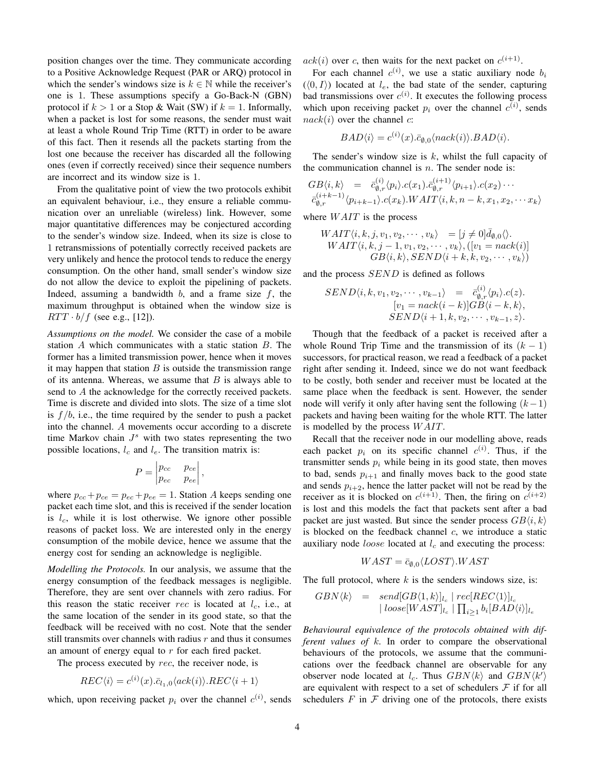position changes over the time. They communicate according to a Positive Acknowledge Request (PAR or ARQ) protocol in which the sender's windows size is  $k \in \mathbb{N}$  while the receiver's one is 1. These assumptions specify a Go-Back-N (GBN) protocol if  $k > 1$  or a Stop & Wait (SW) if  $k = 1$ . Informally, when a packet is lost for some reasons, the sender must wait at least a whole Round Trip Time (RTT) in order to be aware of this fact. Then it resends all the packets starting from the lost one because the receiver has discarded all the following ones (even if correctly received) since their sequence numbers are incorrect and its window size is 1.

From the qualitative point of view the two protocols exhibit an equivalent behaviour, i.e., they ensure a reliable communication over an unreliable (wireless) link. However, some major quantitative differences may be conjectured according to the sender's window size. Indeed, when its size is close to 1 retransmissions of potentially correctly received packets are very unlikely and hence the protocol tends to reduce the energy consumption. On the other hand, small sender's window size do not allow the device to exploit the pipelining of packets. Indeed, assuming a bandwidth  $b$ , and a frame size  $f$ , the maximum throughput is obtained when the window size is  $RTT \cdot b/f$  (see e.g., [12]).

*Assumptions on the model.* We consider the case of a mobile station A which communicates with a static station B. The former has a limited transmission power, hence when it moves it may happen that station  $B$  is outside the transmission range of its antenna. Whereas, we assume that  $B$  is always able to send to A the acknowledge for the correctly received packets. Time is discrete and divided into slots. The size of a time slot is  $f/b$ , i.e., the time required by the sender to push a packet into the channel. A movements occur according to a discrete time Markov chain  $J<sup>s</sup>$  with two states representing the two possible locations,  $l_c$  and  $l_e$ . The transition matrix is:

$$
P = \begin{vmatrix} p_{cc} & p_{ce} \\ p_{ec} & p_{ee} \end{vmatrix},
$$

where  $p_{cc} + p_{ce} = p_{ec} + p_{ee} = 1$ . Station A keeps sending one packet each time slot, and this is received if the sender location is  $l_c$ , while it is lost otherwise. We ignore other possible reasons of packet loss. We are interested only in the energy consumption of the mobile device, hence we assume that the energy cost for sending an acknowledge is negligible.

*Modelling the Protocols.* In our analysis, we assume that the energy consumption of the feedback messages is negligible. Therefore, they are sent over channels with zero radius. For this reason the static receiver rec is located at  $l_c$ , i.e., at the same location of the sender in its good state, so that the feedback will be received with no cost. Note that the sender still transmits over channels with radius  $r$  and thus it consumes an amount of energy equal to  $r$  for each fired packet.

The process executed by rec, the receiver node, is

$$
REC\langle i \rangle = c^{(i)}(x).\bar{c}_{l_1,0}\langle ack(i) \rangle .REC\langle i+1 \rangle
$$

which, upon receiving packet  $p_i$  over the channel  $c^{(i)}$ , sends

 $ack(i)$  over c, then waits for the next packet on  $c^{(i+1)}$ .

For each channel  $c^{(i)}$ , we use a static auxiliary node  $b_i$  $(\langle 0, I \rangle)$  located at  $l_e$ , the bad state of the sender, capturing bad transmissions over  $c^{(i)}$ . It executes the following process which upon receiving packet  $p_i$  over the channel  $c^{(i)}$ , sends  $nack(i)$  over the channel c:

$$
BAD\langle i\rangle=c^{(i)}(x).\bar{c}_{\emptyset,0}\langle nack(i)\rangle. BAD\langle i\rangle.
$$

The sender's window size is  $k$ , whilst the full capacity of the communication channel is  $n$ . The sender node is:

$$
GB\langle i,k\rangle = \bar{c}_{\emptyset,r}^{(i)} \langle p_i \rangle.c(x_1). \bar{c}_{\emptyset,r}^{(i+1)} \langle p_{i+1} \rangle.c(x_2) \cdots \bar{c}_{\emptyset,r}^{(i+k-1)} \langle p_{i+k-1} \rangle.c(x_k).WAIT \langle i, k, n-k, x_1, x_2, \cdots x_k \rangle
$$

where  $WAIT$  is the process

$$
WAIT \langle i, k, j, v_1, v_2, \cdots, v_k \rangle = [j \neq 0] \bar{d}_{\emptyset,0} \langle \rangle.
$$
  
\n
$$
WAIT \langle i, k, j - 1, v_1, v_2, \cdots, v_k \rangle, ([v_1 = nack(i)]
$$
  
\n
$$
GB \langle i, k \rangle, SEND \langle i + k, k, v_2, \cdots, v_k \rangle)
$$

and the process SEND is defined as follows

$$
SEND\langle i, k, v_1, v_2, \cdots, v_{k-1} \rangle = \bar{c}_{\emptyset, r}^{(i)} \langle p_i \rangle . c(z).
$$

$$
[v_1 = nack(i-k)]GB\langle i-k, k \rangle,
$$

$$
SEND\langle i+1, k, v_2, \cdots, v_{k-1}, z \rangle.
$$

Though that the feedback of a packet is received after a whole Round Trip Time and the transmission of its  $(k - 1)$ successors, for practical reason, we read a feedback of a packet right after sending it. Indeed, since we do not want feedback to be costly, both sender and receiver must be located at the same place when the feedback is sent. However, the sender node will verify it only after having sent the following  $(k-1)$ packets and having been waiting for the whole RTT. The latter is modelled by the process  $WAIT$ .

Recall that the receiver node in our modelling above, reads each packet  $p_i$  on its specific channel  $c^{(i)}$ . Thus, if the transmitter sends  $p_i$  while being in its good state, then moves to bad, sends  $p_{i+1}$  and finally moves back to the good state and sends  $p_{i+2}$ , hence the latter packet will not be read by the receiver as it is blocked on  $c^{(i+1)}$ . Then, the firing on  $c^{(i+2)}$ is lost and this models the fact that packets sent after a bad packet are just wasted. But since the sender process  $GB\langle i, k \rangle$ is blocked on the feedback channel  $c$ , we introduce a static auxiliary node *loose* located at  $l_c$  and executing the process:

$$
WAST = \bar{c}_{\emptyset,0} \langle LOST \rangle.WAST
$$

The full protocol, where  $k$  is the senders windows size, is:

$$
GBN\langle k\rangle = send[GB\langle 1, k\rangle]_{l_c} | rec[REC\langle 1\rangle]_{l_c} | loose[WAST]_{l_c} | \prod_{i\geq 1} b_i[BAD\langle i\rangle]_{l_c}
$$

*Behavioural equivalence of the protocols obtained with different values of* k*.* In order to compare the observational behaviours of the protocols, we assume that the communications over the feedback channel are observable for any observer node located at  $l_c$ . Thus  $GBN\langle k \rangle$  and  $GBN\langle k' \rangle$ are equivalent with respect to a set of schedulers  $\mathcal F$  if for all schedulers  $F$  in  $F$  driving one of the protocols, there exists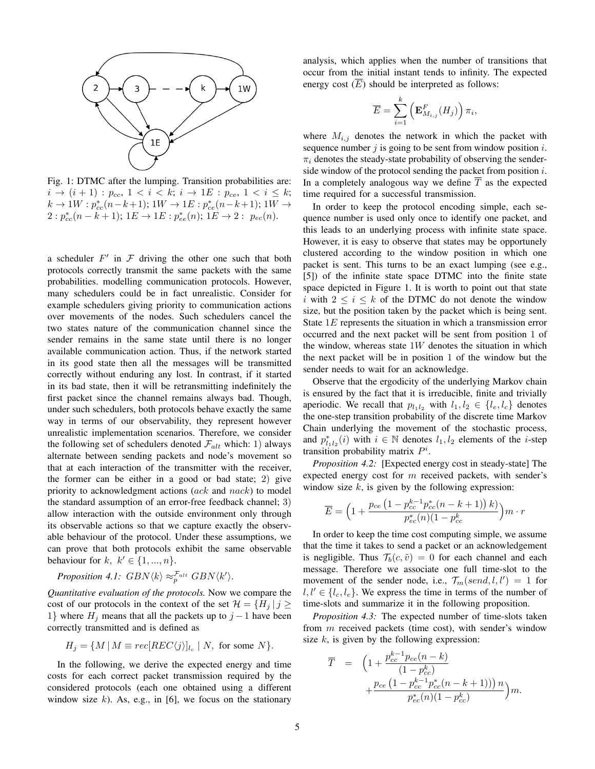

Fig. 1: DTMC after the lumping. Transition probabilities are:  $i \to (i+1) : p_{cc}, 1 < i < k; i \to 1E : p_{ce}, 1 < i \le k;$  $k \to 1W : p_{cc}^*(n-k+1); 1W \to 1E : p_{ce}^*(n-k+1); 1W \to$  $2: p_{cc}^*(n-k+1); 1E \to 1E: p_{ee}^*(n); 1E \to 2: p_{ec}(n).$ 

a scheduler  $F'$  in  $\mathcal F$  driving the other one such that both protocols correctly transmit the same packets with the same probabilities. modelling communication protocols. However, many schedulers could be in fact unrealistic. Consider for example schedulers giving priority to communication actions over movements of the nodes. Such schedulers cancel the two states nature of the communication channel since the sender remains in the same state until there is no longer available communication action. Thus, if the network started in its good state then all the messages will be transmitted correctly without enduring any lost. In contrast, if it started in its bad state, then it will be retransmitting indefinitely the first packet since the channel remains always bad. Though, under such schedulers, both protocols behave exactly the same way in terms of our observability, they represent however unrealistic implementation scenarios. Therefore, we consider the following set of schedulers denoted  $\mathcal{F}_{alt}$  which: 1) always alternate between sending packets and node's movement so that at each interaction of the transmitter with the receiver, the former can be either in a good or bad state; 2) give priority to acknowledgment actions (ack and nack) to model the standard assumption of an error-free feedback channel; 3) allow interaction with the outside environment only through its observable actions so that we capture exactly the observable behaviour of the protocol. Under these assumptions, we can prove that both protocols exhibit the same observable behaviour for  $k, k' \in \{1, ..., n\}.$ 

*Proposition 4.1:*  $GBN\langle k \rangle \approx_p^{\mathcal{F}_{alt}} GBN\langle k' \rangle$ .

*Quantitative evaluation of the protocols.* Now we compare the cost of our protocols in the context of the set  $\mathcal{H} = \{H_i | i \geq 1\}$ 1} where  $H_j$  means that all the packets up to  $j - 1$  have been correctly transmitted and is defined as

$$
H_j = \{ M \, | \, M \equiv rec[REC\langle j \rangle]_{l_c} \mid N, \text{ for some } N \}.
$$

In the following, we derive the expected energy and time costs for each correct packet transmission required by the considered protocols (each one obtained using a different window size  $k$ ). As, e.g., in [6], we focus on the stationary analysis, which applies when the number of transitions that occur from the initial instant tends to infinity. The expected energy cost  $(\overline{E})$  should be interpreted as follows:

$$
\overline{E} = \sum_{i=1}^{k} \left( \mathbf{E}_{M_{i,j}}^{F}(H_j) \right) \pi_i,
$$

where  $M_{i,j}$  denotes the network in which the packet with sequence number  $j$  is going to be sent from window position  $i$ .  $\pi_i$  denotes the steady-state probability of observing the senderside window of the protocol sending the packet from position  $i$ . In a completely analogous way we define  $\overline{T}$  as the expected time required for a successful transmission.

In order to keep the protocol encoding simple, each sequence number is used only once to identify one packet, and this leads to an underlying process with infinite state space. However, it is easy to observe that states may be opportunely clustered according to the window position in which one packet is sent. This turns to be an exact lumping (see e.g., [5]) of the infinite state space DTMC into the finite state space depicted in Figure 1. It is worth to point out that state i with  $2 \leq i \leq k$  of the DTMC do not denote the window size, but the position taken by the packet which is being sent. State 1E represents the situation in which a transmission error occurred and the next packet will be sent from position 1 of the window, whereas state  $1W$  denotes the situation in which the next packet will be in position 1 of the window but the sender needs to wait for an acknowledge.

Observe that the ergodicity of the underlying Markov chain is ensured by the fact that it is irreducible, finite and trivially aperiodic. We recall that  $p_{l_1l_2}$  with  $l_1, l_2 \in \{l_e, l_c\}$  denotes the one-step transition probability of the discrete time Markov Chain underlying the movement of the stochastic process, and  $p_{l_1l_2}^*(i)$  with  $i \in \mathbb{N}$  denotes  $l_1, l_2$  elements of the *i*-step transition probability matrix  $P^i$ .

*Proposition 4.2:* [Expected energy cost in steady-state] The expected energy cost for  $m$  received packets, with sender's window size  $k$ , is given by the following expression:

$$
\overline{E} = \left(1 + \frac{p_{ce} \left(1 - p_{cc}^{k-1} p_{cc}^*(n-k+1)\right)k)}{p_{ec}^*(n)(1 - p_{cc}^k)}\right) m \cdot r
$$

In order to keep the time cost computing simple, we assume that the time it takes to send a packet or an acknowledgement is negligible. Thus  $\mathcal{T}_b(c, \tilde{v}) = 0$  for each channel and each message. Therefore we associate one full time-slot to the movement of the sender node, i.e.,  $\mathcal{T}_m(send, l, l') = 1$  for  $l, l' \in \{l_c, l_e\}$ . We express the time in terms of the number of time-slots and summarize it in the following proposition.

*Proposition 4.3:* The expected number of time-slots taken from m received packets (time cost), with sender's window size  $k$ , is given by the following expression:

$$
\overline{T} = \left(1 + \frac{p_{cc}^{k-1} p_{ce}(n-k)}{(1-p_{cc}^k)} + \frac{p_{ce} (1-p_{cc}^{k-1} p_{cc}^*(n-k+1))}{p_{cc}^*(n)(1-p_{cc}^k)}\right)m.
$$